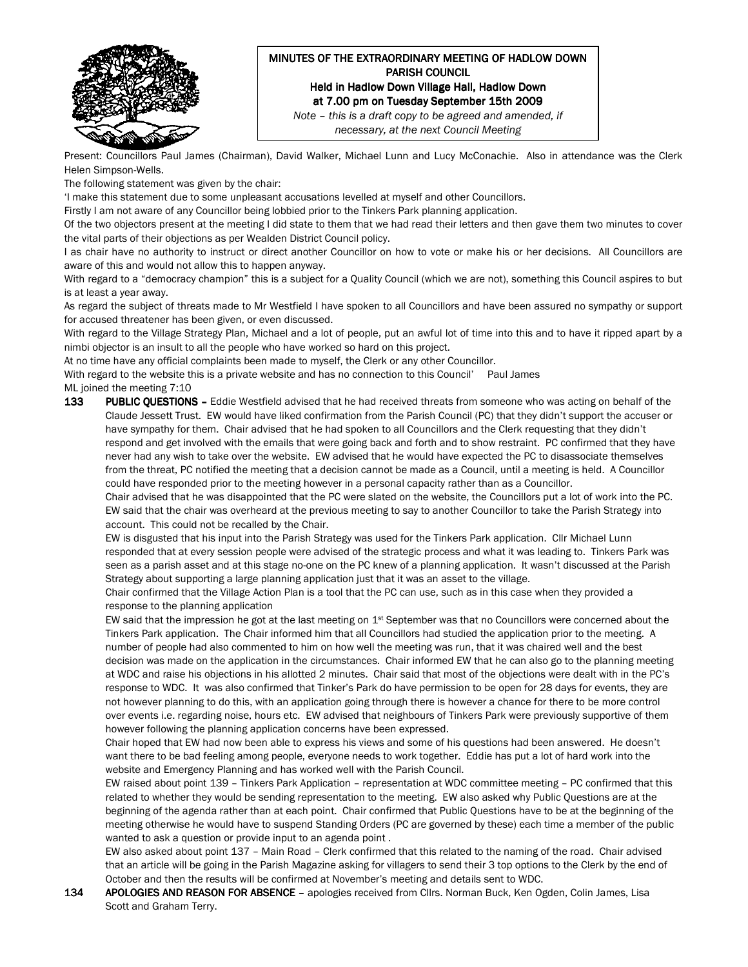

## MINUTES OF THE EXTRAORDINARY MEETING OF HADLOW DOWN PARISH COUNCIL Held in Hadlow Down Village Hall, Hadlow Down at 7.00 pm on Tuesday September 15th 2009

Note – this is a draft copy to be agreed and amended, if necessary, at the next Council Meeting

Present: Councillors Paul James (Chairman), David Walker, Michael Lunn and Lucy McConachie. Also in attendance was the Clerk Helen Simpson-Wells.

The following statement was given by the chair:

'I make this statement due to some unpleasant accusations levelled at myself and other Councillors.

Firstly I am not aware of any Councillor being lobbied prior to the Tinkers Park planning application.

Of the two objectors present at the meeting I did state to them that we had read their letters and then gave them two minutes to cover the vital parts of their objections as per Wealden District Council policy.

I as chair have no authority to instruct or direct another Councillor on how to vote or make his or her decisions. All Councillors are aware of this and would not allow this to happen anyway.

With regard to a "democracy champion" this is a subject for a Quality Council (which we are not), something this Council aspires to but is at least a year away.

As regard the subject of threats made to Mr Westfield I have spoken to all Councillors and have been assured no sympathy or support for accused threatener has been given, or even discussed.

With regard to the Village Strategy Plan, Michael and a lot of people, put an awful lot of time into this and to have it ripped apart by a nimbi objector is an insult to all the people who have worked so hard on this project.

At no time have any official complaints been made to myself, the Clerk or any other Councillor.

With regard to the website this is a private website and has no connection to this Council' Paul James ML joined the meeting 7:10

133 PUBLIC QUESTIONS - Eddie Westfield advised that he had received threats from someone who was acting on behalf of the Claude Jessett Trust. EW would have liked confirmation from the Parish Council (PC) that they didn't support the accuser or have sympathy for them. Chair advised that he had spoken to all Councillors and the Clerk requesting that they didn't respond and get involved with the emails that were going back and forth and to show restraint. PC confirmed that they have never had any wish to take over the website. EW advised that he would have expected the PC to disassociate themselves from the threat, PC notified the meeting that a decision cannot be made as a Council, until a meeting is held. A Councillor could have responded prior to the meeting however in a personal capacity rather than as a Councillor.

Chair advised that he was disappointed that the PC were slated on the website, the Councillors put a lot of work into the PC. EW said that the chair was overheard at the previous meeting to say to another Councillor to take the Parish Strategy into account. This could not be recalled by the Chair.

EW is disgusted that his input into the Parish Strategy was used for the Tinkers Park application. Cllr Michael Lunn responded that at every session people were advised of the strategic process and what it was leading to. Tinkers Park was seen as a parish asset and at this stage no-one on the PC knew of a planning application. It wasn't discussed at the Parish Strategy about supporting a large planning application just that it was an asset to the village.

Chair confirmed that the Village Action Plan is a tool that the PC can use, such as in this case when they provided a response to the planning application

EW said that the impression he got at the last meeting on  $1st$  September was that no Councillors were concerned about the Tinkers Park application. The Chair informed him that all Councillors had studied the application prior to the meeting. A number of people had also commented to him on how well the meeting was run, that it was chaired well and the best decision was made on the application in the circumstances. Chair informed EW that he can also go to the planning meeting at WDC and raise his objections in his allotted 2 minutes. Chair said that most of the objections were dealt with in the PC's response to WDC. It was also confirmed that Tinker's Park do have permission to be open for 28 days for events, they are not however planning to do this, with an application going through there is however a chance for there to be more control over events i.e. regarding noise, hours etc. EW advised that neighbours of Tinkers Park were previously supportive of them however following the planning application concerns have been expressed.

Chair hoped that EW had now been able to express his views and some of his questions had been answered. He doesn't want there to be bad feeling among people, everyone needs to work together. Eddie has put a lot of hard work into the website and Emergency Planning and has worked well with the Parish Council.

EW raised about point 139 – Tinkers Park Application – representation at WDC committee meeting – PC confirmed that this related to whether they would be sending representation to the meeting. EW also asked why Public Questions are at the beginning of the agenda rather than at each point. Chair confirmed that Public Questions have to be at the beginning of the meeting otherwise he would have to suspend Standing Orders (PC are governed by these) each time a member of the public wanted to ask a question or provide input to an agenda point .

EW also asked about point 137 – Main Road – Clerk confirmed that this related to the naming of the road. Chair advised that an article will be going in the Parish Magazine asking for villagers to send their 3 top options to the Clerk by the end of October and then the results will be confirmed at November's meeting and details sent to WDC.

134 APOLOGIES AND REASON FOR ABSENCE - apologies received from Cllrs. Norman Buck, Ken Ogden, Colin James, Lisa Scott and Graham Terry.